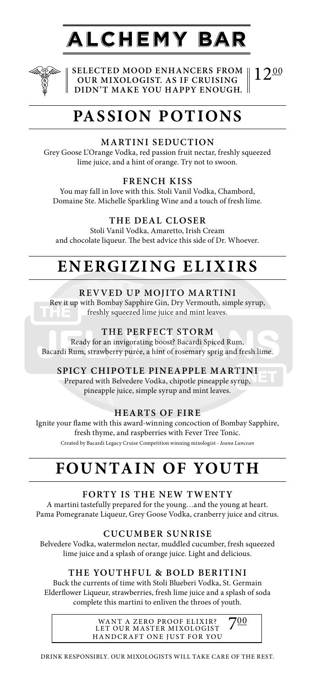# **ALCHEMY BAR**



**SELECTED MOOD ENHANCERS FROM OUR MIXOLOGIST. AS IF CRUISING DIDN'T MAKE YOU HAPPY ENOUGH.**  $12^{00}$ 

# **PASSION POTIONS**

### **MARTINI SEDUCTION**

Grey Goose L'Orange Vodka, red passion fruit nectar, freshly squeezed lime juice, and a hint of orange. Try not to swoon.

### **FRENCH KISS**

You may fall in love with this. Stoli Vanil Vodka, Chambord, Domaine Ste. Michelle Sparkling Wine and a touch of fresh lime.

### **THE DEAL CLOSER**

Stoli Vanil Vodka, Amaretto, Irish Cream and chocolate liqueur. The best advice this side of Dr. Whoever.

# **ENERGIZING ELIXIRS**

### **REVVED UP MOJITO MARTINI**

Rev it up with Bombay Sapphire Gin, Dry Vermouth, simple syrup, freshly squeezed lime juice and mint leaves.

### **THE PERFECT STORM**

Ready for an invigorating boost? Bacardi Spiced Rum, Bacardi Rum, strawberry purée, a hint of rosemary sprig and fresh lime.

### **SPICY CHIPOTLE PINEAPPLE MARTINI**

Prepared with Belvedere Vodka, chipotle pineapple syrup, pineapple juice, simple syrup and mint leaves.

### **HEARTS OF FIRE**

Ignite your flame with this award-winning concoction of Bombay Sapphire, fresh thyme, and raspberries with Fever Tree Tonic. Created by Bacardi Legacy Cruise Competition winning mixologist - *Ioana Luncean*

## **FOUNTAIN OF YOUTH**

### **FORTY IS THE NEW TWENTY**

A martini tastefully prepared for the young…and the young at heart. Pama Pomegranate Liqueur, Grey Goose Vodka, cranberry juice and citrus.

### **CUCUMBER SUNRISE**

Belvedere Vodka, watermelon nectar, muddled cucumber, fresh squeezed lime juice and a splash of orange juice. Light and delicious.

### **THE YOUTHFUL & BOLD BERITINI**

Buck the currents of time with Stoli Blueberi Vodka, St. Germain Elderflower Liqueur, strawberries, fresh lime juice and a splash of soda complete this martini to enliven the throes of youth.

> WANT A ZERO PROOF ELIXIR? LET OUR MASTER MIXOLOGIST HANDCRAFT ONE JUST FOR YOU

700

DRINK RESPONSIBLY. OUR MIXOLOGISTS WILL TAKE CARE OF THE REST.